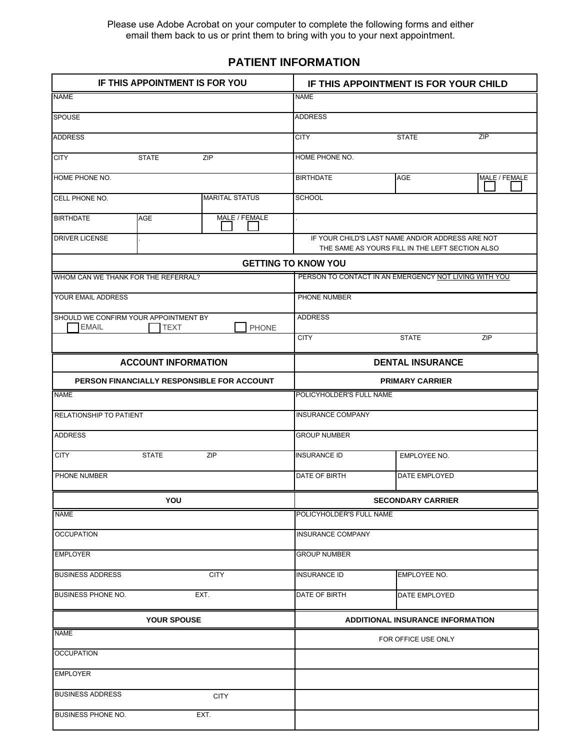Please use Adobe Acrobat on your computer to complete the following forms and either email them back to us or print them to bring with you to your next appointment.

### **PATIENT INFORMATION**

| IF THIS APPOINTMENT IS FOR YOU      |                                               |                                            | IF THIS APPOINTMENT IS FOR YOUR CHILD |                                                                                                     |               |  |  |
|-------------------------------------|-----------------------------------------------|--------------------------------------------|---------------------------------------|-----------------------------------------------------------------------------------------------------|---------------|--|--|
| <b>NAME</b>                         |                                               |                                            | <b>NAME</b>                           |                                                                                                     |               |  |  |
| <b>SPOUSE</b>                       |                                               |                                            | <b>ADDRESS</b>                        |                                                                                                     |               |  |  |
| <b>ADDRESS</b>                      |                                               |                                            | <b>CITY</b>                           | <b>STATE</b>                                                                                        | ZIP           |  |  |
| <b>CITY</b>                         | ZIP<br><b>STATE</b>                           |                                            |                                       |                                                                                                     |               |  |  |
| HOME PHONE NO.                      |                                               |                                            | <b>BIRTHDATE</b>                      | <b>AGE</b>                                                                                          | MALE / FEMALE |  |  |
| CELL PHONE NO.                      |                                               | <b>MARITAL STATUS</b>                      | <b>SCHOOL</b>                         |                                                                                                     |               |  |  |
| <b>BIRTHDATE</b>                    | AGE                                           | MALE / FEMALE                              |                                       |                                                                                                     |               |  |  |
| <b>DRIVER LICENSE</b>               |                                               |                                            |                                       | IF YOUR CHILD'S LAST NAME AND/OR ADDRESS ARE NOT<br>THE SAME AS YOURS FILL IN THE LEFT SECTION ALSO |               |  |  |
|                                     |                                               |                                            | <b>GETTING TO KNOW YOU</b>            |                                                                                                     |               |  |  |
| WHOM CAN WE THANK FOR THE REFERRAL? |                                               |                                            |                                       | PERSON TO CONTACT IN AN EMERGENCY NOT LIVING WITH YOU                                               |               |  |  |
| YOUR EMAIL ADDRESS                  |                                               |                                            | PHONE NUMBER                          |                                                                                                     |               |  |  |
| <b>EMAIL</b>                        | SHOULD WE CONFIRM YOUR APPOINTMENT BY<br>TEXT | PHONE                                      | <b>ADDRESS</b>                        |                                                                                                     |               |  |  |
|                                     |                                               |                                            | <b>CITY</b>                           | <b>STATE</b>                                                                                        | ZIP           |  |  |
|                                     | <b>ACCOUNT INFORMATION</b>                    |                                            |                                       | <b>DENTAL INSURANCE</b>                                                                             |               |  |  |
|                                     |                                               | PERSON FINANCIALLY RESPONSIBLE FOR ACCOUNT |                                       | <b>PRIMARY CARRIER</b>                                                                              |               |  |  |
| <b>NAME</b>                         |                                               |                                            | POLICYHOLDER'S FULL NAME              |                                                                                                     |               |  |  |
| RELATIONSHIP TO PATIENT             |                                               |                                            | <b>INSURANCE COMPANY</b>              |                                                                                                     |               |  |  |
| <b>ADDRESS</b>                      |                                               |                                            | <b>GROUP NUMBER</b>                   |                                                                                                     |               |  |  |
| <b>CITY</b>                         | <b>STATE</b>                                  | ZIP                                        | <b>INSURANCE ID</b>                   | EMPLOYEE NO.                                                                                        |               |  |  |
| PHONE NUMBER                        |                                               |                                            | DATE OF BIRTH                         | <b>DATE EMPLOYED</b>                                                                                |               |  |  |
|                                     | YOU                                           |                                            |                                       | <b>SECONDARY CARRIER</b>                                                                            |               |  |  |
| <b>NAME</b>                         |                                               |                                            | POLICYHOLDER'S FULL NAME              |                                                                                                     |               |  |  |
| <b>OCCUPATION</b>                   |                                               |                                            | <b>INSURANCE COMPANY</b>              |                                                                                                     |               |  |  |
| <b>EMPLOYER</b>                     |                                               |                                            | <b>GROUP NUMBER</b>                   |                                                                                                     |               |  |  |
| <b>BUSINESS ADDRESS</b>             |                                               | <b>CITY</b>                                | <b>INSURANCE ID</b>                   | EMPLOYEE NO.                                                                                        |               |  |  |
| <b>BUSINESS PHONE NO.</b>           |                                               | EXT.                                       | DATE OF BIRTH                         | DATE EMPLOYED                                                                                       |               |  |  |
| YOUR SPOUSE                         |                                               |                                            |                                       | <b>ADDITIONAL INSURANCE INFORMATION</b>                                                             |               |  |  |
| <b>NAME</b>                         |                                               |                                            |                                       | FOR OFFICE USE ONLY                                                                                 |               |  |  |
| <b>OCCUPATION</b>                   |                                               |                                            |                                       |                                                                                                     |               |  |  |
| <b>EMPLOYER</b>                     |                                               |                                            |                                       |                                                                                                     |               |  |  |
| <b>BUSINESS ADDRESS</b>             |                                               | <b>CITY</b>                                |                                       |                                                                                                     |               |  |  |
| <b>BUSINESS PHONE NO.</b>           |                                               | EXT.                                       |                                       |                                                                                                     |               |  |  |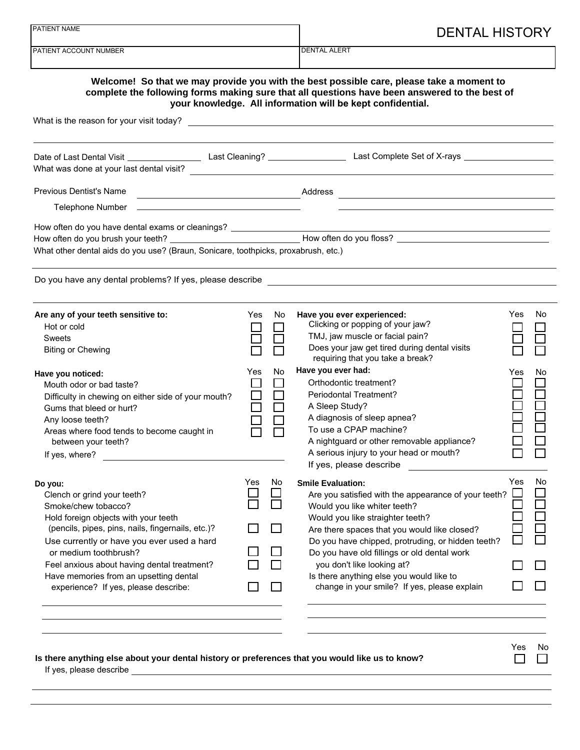| PATIENT NAME                                                                                    |                     |     | <b>DENTAL HISTORY</b>                                                                                                                                                                                                                                   |     |     |
|-------------------------------------------------------------------------------------------------|---------------------|-----|---------------------------------------------------------------------------------------------------------------------------------------------------------------------------------------------------------------------------------------------------------|-----|-----|
| PATIENT ACCOUNT NUMBER                                                                          | <b>DENTAL ALERT</b> |     |                                                                                                                                                                                                                                                         |     |     |
|                                                                                                 |                     |     | Welcome! So that we may provide you with the best possible care, please take a moment to<br>complete the following forms making sure that all questions have been answered to the best of<br>your knowledge. All information will be kept confidential. |     |     |
|                                                                                                 |                     |     |                                                                                                                                                                                                                                                         |     |     |
| What was done at your last dental visit?                                                        |                     |     |                                                                                                                                                                                                                                                         |     |     |
|                                                                                                 |                     |     |                                                                                                                                                                                                                                                         |     |     |
|                                                                                                 |                     |     |                                                                                                                                                                                                                                                         |     |     |
|                                                                                                 |                     |     |                                                                                                                                                                                                                                                         |     |     |
|                                                                                                 |                     |     |                                                                                                                                                                                                                                                         |     |     |
| What other dental aids do you use? (Braun, Sonicare, toothpicks, proxabrush, etc.)              |                     |     |                                                                                                                                                                                                                                                         |     |     |
|                                                                                                 |                     |     | Do you have any dental problems? If yes, please describe <b>contained a manufature of the container and container</b>                                                                                                                                   |     |     |
| Are any of your teeth sensitive to:                                                             | <b>Yes</b>          | No. | Have you ever experienced:                                                                                                                                                                                                                              | Yes | No. |
| Hot or cold                                                                                     |                     |     | Clicking or popping of your jaw?                                                                                                                                                                                                                        |     |     |
| <b>Sweets</b>                                                                                   |                     |     | TMJ, jaw muscle or facial pain?                                                                                                                                                                                                                         |     |     |
| <b>Biting or Chewing</b>                                                                        |                     |     | Does your jaw get tired during dental visits<br>requiring that you take a break?                                                                                                                                                                        |     |     |
| Have you noticed:                                                                               | Yes                 | No  | Have you ever had:                                                                                                                                                                                                                                      | Yes | No  |
| Mouth odor or bad taste?                                                                        |                     |     | Orthodontic treatment?                                                                                                                                                                                                                                  |     |     |
| Difficulty in chewing on either side of your mouth?                                             |                     |     | <b>Periodontal Treatment?</b>                                                                                                                                                                                                                           |     |     |
| Gums that bleed or hurt?                                                                        |                     |     | A Sleep Study?<br>A diagnosis of sleep apnea?                                                                                                                                                                                                           |     |     |
| Any loose teeth?                                                                                |                     |     | To use a CPAP machine?                                                                                                                                                                                                                                  |     |     |
| Areas where food tends to become caught in<br>between your teeth?                               |                     |     | A nightguard or other removable appliance?                                                                                                                                                                                                              |     |     |
| If yes, where?                                                                                  |                     |     | A serious injury to your head or mouth?                                                                                                                                                                                                                 |     |     |
|                                                                                                 |                     |     | If yes, please describe                                                                                                                                                                                                                                 |     |     |
| Do you:                                                                                         | Yes                 | No. | <b>Smile Evaluation:</b>                                                                                                                                                                                                                                | Yes | No  |
| Clench or grind your teeth?                                                                     |                     |     | Are you satisfied with the appearance of your teeth?                                                                                                                                                                                                    |     |     |
| Smoke/chew tobacco?                                                                             |                     |     | Would you like whiter teeth?                                                                                                                                                                                                                            |     |     |
| Hold foreign objects with your teeth                                                            |                     |     | Would you like straighter teeth?                                                                                                                                                                                                                        |     |     |
| (pencils, pipes, pins, nails, fingernails, etc.)?<br>Use currently or have you ever used a hard |                     |     | Are there spaces that you would like closed?<br>Do you have chipped, protruding, or hidden teeth?                                                                                                                                                       |     |     |
| or medium toothbrush?                                                                           |                     |     | Do you have old fillings or old dental work                                                                                                                                                                                                             |     |     |
| Feel anxious about having dental treatment?                                                     |                     |     | you don't like looking at?                                                                                                                                                                                                                              |     |     |
| Have memories from an upsetting dental                                                          |                     |     | Is there anything else you would like to                                                                                                                                                                                                                |     |     |
| experience? If yes, please describe:                                                            |                     |     | change in your smile? If yes, please explain                                                                                                                                                                                                            |     |     |
|                                                                                                 |                     |     |                                                                                                                                                                                                                                                         |     |     |
|                                                                                                 |                     |     |                                                                                                                                                                                                                                                         |     |     |
|                                                                                                 |                     |     |                                                                                                                                                                                                                                                         | Yes | N0  |

|                         | Is there anything else about your dental history or preferences that you would like us to know? |
|-------------------------|-------------------------------------------------------------------------------------------------|
| If yes, please describe |                                                                                                 |
|                         |                                                                                                 |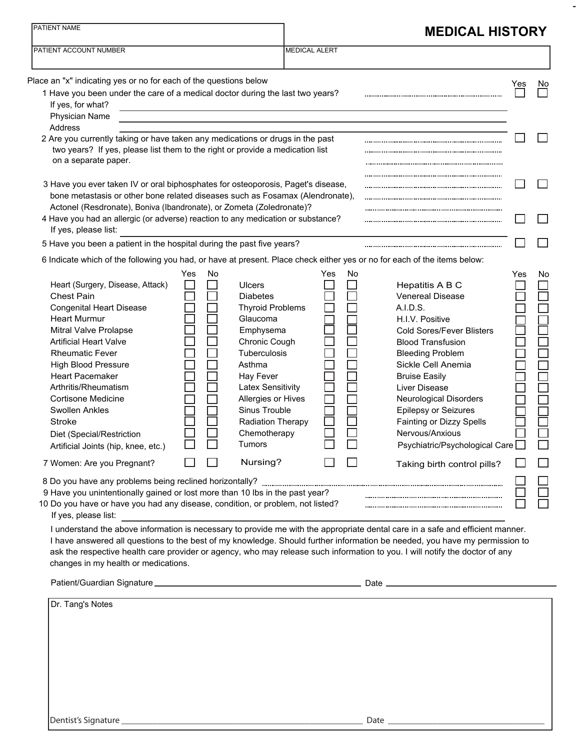| PATIENT NAME                                                                                                                                                                                                                                                                                                                                                                                                                                                                                                                                                                                                                                           |           | <b>MEDICAL HISTORY</b><br><b>MEDICAL ALERT</b>                                                                                                                                                                                                                                           |           |                                                                                                                                                                                                                                                                                                                                                                                                                                                                                                                                                |     |           |  |
|--------------------------------------------------------------------------------------------------------------------------------------------------------------------------------------------------------------------------------------------------------------------------------------------------------------------------------------------------------------------------------------------------------------------------------------------------------------------------------------------------------------------------------------------------------------------------------------------------------------------------------------------------------|-----------|------------------------------------------------------------------------------------------------------------------------------------------------------------------------------------------------------------------------------------------------------------------------------------------|-----------|------------------------------------------------------------------------------------------------------------------------------------------------------------------------------------------------------------------------------------------------------------------------------------------------------------------------------------------------------------------------------------------------------------------------------------------------------------------------------------------------------------------------------------------------|-----|-----------|--|
| PATIENT ACCOUNT NUMBER                                                                                                                                                                                                                                                                                                                                                                                                                                                                                                                                                                                                                                 |           |                                                                                                                                                                                                                                                                                          |           |                                                                                                                                                                                                                                                                                                                                                                                                                                                                                                                                                |     |           |  |
| Place an "x" indicating yes or no for each of the questions below                                                                                                                                                                                                                                                                                                                                                                                                                                                                                                                                                                                      |           |                                                                                                                                                                                                                                                                                          |           |                                                                                                                                                                                                                                                                                                                                                                                                                                                                                                                                                | Yes | <b>No</b> |  |
| 1 Have you been under the care of a medical doctor during the last two years?<br>If yes, for what?<br>Physician Name                                                                                                                                                                                                                                                                                                                                                                                                                                                                                                                                   |           |                                                                                                                                                                                                                                                                                          |           |                                                                                                                                                                                                                                                                                                                                                                                                                                                                                                                                                |     |           |  |
| Address                                                                                                                                                                                                                                                                                                                                                                                                                                                                                                                                                                                                                                                |           |                                                                                                                                                                                                                                                                                          |           |                                                                                                                                                                                                                                                                                                                                                                                                                                                                                                                                                |     |           |  |
| 2 Are you currently taking or have taken any medications or drugs in the past<br>two years? If yes, please list them to the right or provide a medication list<br>on a separate paper.                                                                                                                                                                                                                                                                                                                                                                                                                                                                 |           |                                                                                                                                                                                                                                                                                          |           |                                                                                                                                                                                                                                                                                                                                                                                                                                                                                                                                                |     |           |  |
| 3 Have you ever taken IV or oral biphosphates for osteoporosis, Paget's disease,<br>bone metastasis or other bone related diseases such as Fosamax (Alendronate),                                                                                                                                                                                                                                                                                                                                                                                                                                                                                      |           |                                                                                                                                                                                                                                                                                          |           |                                                                                                                                                                                                                                                                                                                                                                                                                                                                                                                                                |     |           |  |
| Actonel (Resdronate), Boniva (Ibandronate), or Zometa (Zoledronate)?<br>4 Have you had an allergic (or adverse) reaction to any medication or substance?<br>If yes, please list:                                                                                                                                                                                                                                                                                                                                                                                                                                                                       |           |                                                                                                                                                                                                                                                                                          |           |                                                                                                                                                                                                                                                                                                                                                                                                                                                                                                                                                |     |           |  |
| 5 Have you been a patient in the hospital during the past five years?                                                                                                                                                                                                                                                                                                                                                                                                                                                                                                                                                                                  |           |                                                                                                                                                                                                                                                                                          |           |                                                                                                                                                                                                                                                                                                                                                                                                                                                                                                                                                |     |           |  |
| 6 Indicate which of the following you had, or have at present. Place check either yes or no for each of the items below:                                                                                                                                                                                                                                                                                                                                                                                                                                                                                                                               |           |                                                                                                                                                                                                                                                                                          |           |                                                                                                                                                                                                                                                                                                                                                                                                                                                                                                                                                |     |           |  |
| Heart (Surgery, Disease, Attack)<br><b>Chest Pain</b><br><b>Congenital Heart Disease</b><br><b>Heart Murmur</b><br>Mitral Valve Prolapse<br><b>Artificial Heart Valve</b><br><b>Rheumatic Fever</b><br><b>High Blood Pressure</b><br><b>Heart Pacemaker</b><br>Arthritis/Rheumatism<br><b>Cortisone Medicine</b><br><b>Swollen Ankles</b><br><b>Stroke</b><br>Diet (Special/Restriction<br>Artificial Joints (hip, knee, etc.)<br>7 Women: Are you Pregnant?<br>9 Have you unintentionally gained or lost more than 10 lbs in the past year?<br>10 Do you have or have you had any disease, condition, or problem, not listed?<br>If yes, please list: | Yes<br>No | <b>Ulcers</b><br><b>Diabetes</b><br><b>Thyroid Problems</b><br>Glaucoma<br>Emphysema<br>Chronic Cough<br><b>Tuberculosis</b><br>Asthma<br>Hay Fever<br><b>Latex Sensitivity</b><br>Allergies or Hives<br>Sinus Trouble<br>Radiation Therapy<br>Chemotherapy<br><b>Tumors</b><br>Nursing? | No<br>Yes | Hepatitis A B C<br><b>Venereal Disease</b><br>A.I.D.S.<br>H.I.V. Positive<br><b>Cold Sores/Fever Blisters</b><br><b>Blood Transfusion</b><br><b>Bleeding Problem</b><br>Sickle Cell Anemia<br><b>Bruise Easily</b><br>Liver Disease<br><b>Neurological Disorders</b><br>Epilepsy or Seizures<br>Fainting or Dizzy Spells<br>Nervous/Anxious<br>Psychiatric/Psychological Care<br>Taking birth control pills?<br>I understand the above information is necessary to provide me with the appropriate dental care in a safe and efficient manner. | Yes | No.       |  |
| changes in my health or medications.                                                                                                                                                                                                                                                                                                                                                                                                                                                                                                                                                                                                                   |           |                                                                                                                                                                                                                                                                                          |           | I have answered all questions to the best of my knowledge. Should further information be needed, you have my permission to<br>ask the respective health care provider or agency, who may release such information to you. I will notify the doctor of any                                                                                                                                                                                                                                                                                      |     |           |  |
| Dr. Tang's Notes                                                                                                                                                                                                                                                                                                                                                                                                                                                                                                                                                                                                                                       |           |                                                                                                                                                                                                                                                                                          |           |                                                                                                                                                                                                                                                                                                                                                                                                                                                                                                                                                |     |           |  |
|                                                                                                                                                                                                                                                                                                                                                                                                                                                                                                                                                                                                                                                        |           |                                                                                                                                                                                                                                                                                          |           |                                                                                                                                                                                                                                                                                                                                                                                                                                                                                                                                                |     |           |  |
| Dentist's Signature _____                                                                                                                                                                                                                                                                                                                                                                                                                                                                                                                                                                                                                              |           |                                                                                                                                                                                                                                                                                          |           | Date                                                                                                                                                                                                                                                                                                                                                                                                                                                                                                                                           |     |           |  |

-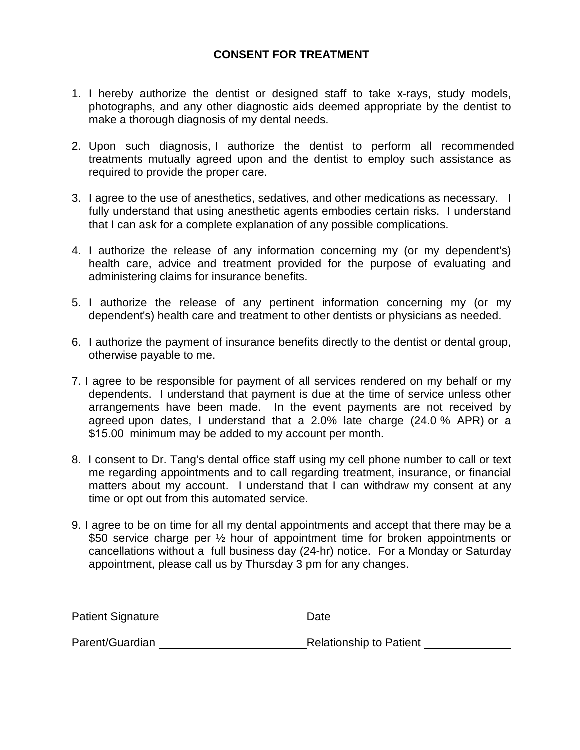#### **CONSENT FOR TREATMENT**

- 1. I hereby authorize the dentist or designed staff to take x-rays, study models, photographs, and any other diagnostic aids deemed appropriate by the dentist to make a thorough diagnosis of my dental needs.
- 2. Upon such diagnosis, I authorize the dentist to perform all recommended treatments mutually agreed upon and the dentist to employ such assistance as required to provide the proper care.
- 3. I agree to the use of anesthetics, sedatives, and other medications as necessary. I fully understand that using anesthetic agents embodies certain risks. I understand that I can ask for a complete explanation of any possible complications.
- 4. I authorize the release of any information concerning my (or my dependent's) health care, advice and treatment provided for the purpose of evaluating and administering claims for insurance benefits.
- 5. I authorize the release of any pertinent information concerning my (or my dependent's) health care and treatment to other dentists or physicians as needed.
- 6. I authorize the payment of insurance benefits directly to the dentist or dental group, otherwise payable to me.
- 7. I agree to be responsible for payment of all services rendered on my behalf or my dependents. I understand that payment is due at the time of service unless other arrangements have been made. In the event payments are not received by agreed upon dates, I understand that a 2.0% late charge (24.0 % APR) or a \$15.00 minimum may be added to my account per month.
- 8. I consent to Dr. Tang's dental office staff using my cell phone number to call or text me regarding appointments and to call regarding treatment, insurance, or financial matters about my account. I understand that I can withdraw my consent at any time or opt out from this automated service.
- 9. I agree to be on time for all my dental appointments and accept that there may be a \$50 service charge per 1/2 hour of appointment time for broken appointments or cancellations without a full business day (24-hr) notice. For a Monday or Saturday appointment, please call us by Thursday 3 pm for any changes.

| Patient Signature | Date                           |  |  |
|-------------------|--------------------------------|--|--|
| Parent/Guardian   | <b>Relationship to Patient</b> |  |  |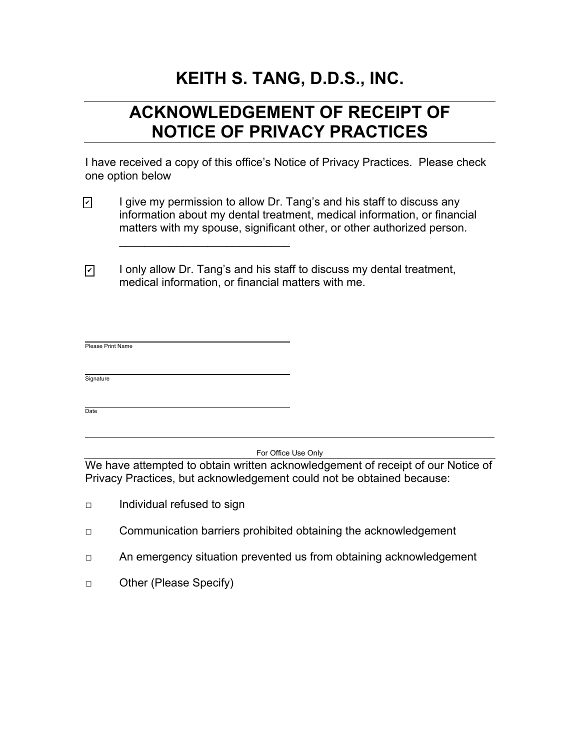# **KEITH S. TANG, D.D.S., INC.**

## **ACKNOWLEDGEMENT OF RECEIPT OF NOTICE OF PRIVACY PRACTICES**

I have received a copy of this office's Notice of Privacy Practices. Please check one option below

- I give my permission to allow Dr. Tang's and his staff to discuss any information about my dental treatment, medical information, or financial matters with my spouse, significant other, or other authorized person.  $\blacktriangledown$
- I only allow Dr. Tang's and his staff to discuss my dental treatment, medical information, or financial matters with me. ✔

\_\_\_\_\_\_\_\_\_\_\_\_\_\_\_\_\_\_\_\_\_\_\_\_\_\_\_

| Please Print Name |  |  |  |  |
|-------------------|--|--|--|--|
|                   |  |  |  |  |
| Signature         |  |  |  |  |
|                   |  |  |  |  |
| Date              |  |  |  |  |

For Office Use Only

We have attempted to obtain written acknowledgement of receipt of our Notice of Privacy Practices, but acknowledgement could not be obtained because:

- □ Individual refused to sign
- □ Communication barriers prohibited obtaining the acknowledgement
- □ An emergency situation prevented us from obtaining acknowledgement
- □ Other (Please Specify)